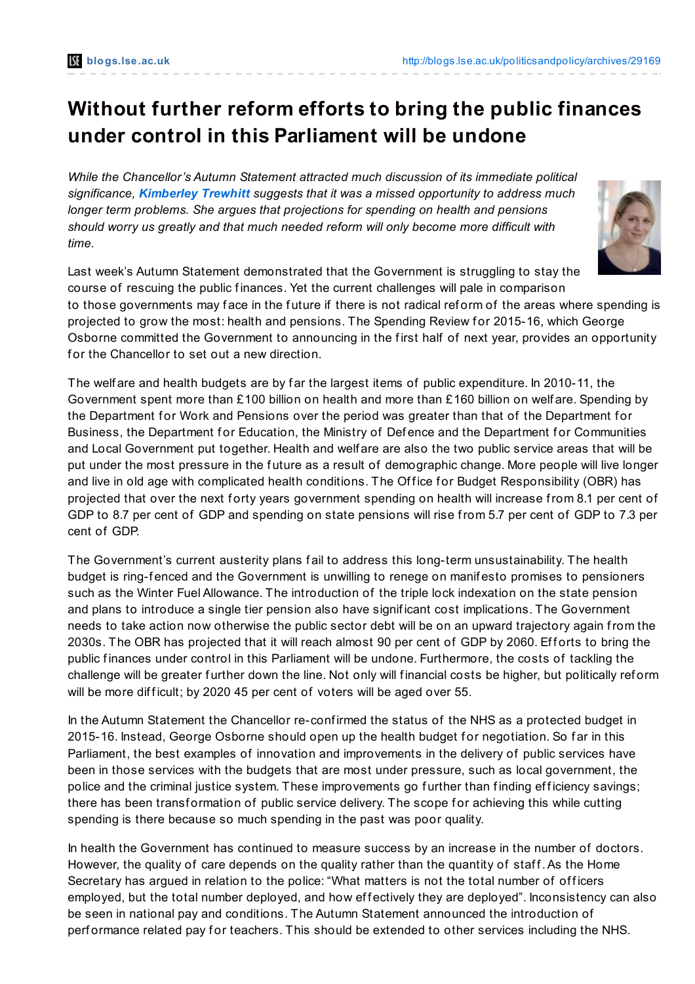## **Without further reform efforts to bring the public finances under control in this Parliament will be undone**

*While the Chancellor's Autumn Statement attracted much discussion of its immediate political significance, [Kimberley](http://blogs.lse.ac.uk/politicsandpolicy/archives/29169#author) Trewhitt suggests that it was a missed opportunity to address much longer term problems. She argues that projections for spending on health and pensions should worry us greatly and that much needed reform will only become more difficult with time.*



Last week's Autumn Statement demonstrated that the Government is struggling to stay the course of rescuing the public finances. Yet the current challenges will pale in comparison to those governments may face in the future if there is not radical reform of the areas where spending is projected to grow the most: health and pensions. The Spending Review for 2015-16, which George Osborne committed the Government to announcing in the first half of next year, provides an opportunity for the Chancellor to set out a new direction.

The welfare and health budgets are by far the largest items of public expenditure. In 2010-11, the Government spent more than £100 billion on health and more than £160 billion on welf are. Spending by the Department for Work and Pensions over the period was greater than that of the Department for Business, the Department for Education, the Ministry of Defence and the Department for Communities and Local Government put together. Health and welf are are also the two public service areas that will be put under the most pressure in the future as a result of demographic change. More people will live longer and live in old age with complicated health conditions. The Office for Budget Responsibility (OBR) has projected that over the next forty years government spending on health will increase from 8.1 per cent of GDP to 8.7 per cent of GDP and spending on state pensions will rise from 5.7 per cent of GDP to 7.3 per cent of GDP.

The Government's current austerity plans f ail to address this long-term unsustainability. The health budget is ring-f enced and the Government is unwilling to renege on manif esto promises to pensioners such as the Winter Fuel Allowance. The introduction of the triple lock indexation on the state pension and plans to introduce a single tier pension also have signif icant cost implications. The Government needs to take action now otherwise the public sector debt will be on an upward trajectory again from the 2030s. The OBR has projected that it will reach almost 90 per cent of GDP by 2060. Efforts to bring the public finances under control in this Parliament will be undone. Furthermore, the costs of tackling the challenge will be greater further down the line. Not only will financial costs be higher, but politically reform will be more difficult; by 2020 45 per cent of voters will be aged over 55.

In the Autumn Statement the Chancellor re-confirmed the status of the NHS as a protected budget in 2015-16. Instead, George Osborne should open up the health budget for negotiation. So far in this Parliament, the best examples of innovation and improvements in the delivery of public services have been in those services with the budgets that are most under pressure, such as local government, the police and the criminal justice system. These improvements go further than finding efficiency savings; there has been transformation of public service delivery. The scope for achieving this while cutting spending is there because so much spending in the past was poor quality.

In health the Government has continued to measure success by an increase in the number of doctors. However, the quality of care depends on the quality rather than the quantity of staff. As the Home Secretary has argued in relation to the police: "What matters is not the total number of officers employed, but the total number deployed, and how effectively they are deployed". Inconsistency can also be seen in national pay and conditions. The Autumn Statement announced the introduction of performance related pay for teachers. This should be extended to other services including the NHS.